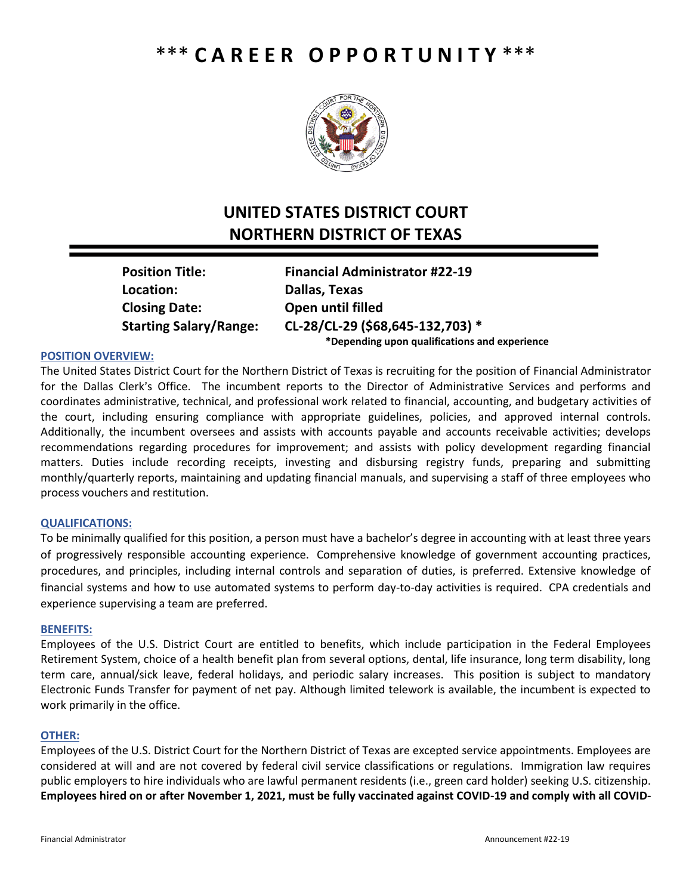# \*\*\* **C A R E E R O P P O R T U N I T Y** \*\*\*



# **UNITED STATES DISTRICT COURT NORTHERN DISTRICT OF TEXAS**

**Location: Dallas, Texas Closing Date: Open until filled**

**Position Title: Financial Administrator #22-19 Starting Salary/Range: CL-28/CL-29 (\$68,645-132,703) \* \*Depending upon qualifications and experience**

## **POSITION OVERVIEW:**

The United States District Court for the Northern District of Texas is recruiting for the position of Financial Administrator for the Dallas Clerk's Office. The incumbent reports to the Director of Administrative Services and performs and coordinates administrative, technical, and professional work related to financial, accounting, and budgetary activities of the court, including ensuring compliance with appropriate guidelines, policies, and approved internal controls. Additionally, the incumbent oversees and assists with accounts payable and accounts receivable activities; develops recommendations regarding procedures for improvement; and assists with policy development regarding financial matters. Duties include recording receipts, investing and disbursing registry funds, preparing and submitting monthly/quarterly reports, maintaining and updating financial manuals, and supervising a staff of three employees who process vouchers and restitution.

## **QUALIFICATIONS:**

To be minimally qualified for this position, a person must have a bachelor's degree in accounting with at least three years of progressively responsible accounting experience. Comprehensive knowledge of government accounting practices, procedures, and principles, including internal controls and separation of duties, is preferred. Extensive knowledge of financial systems and how to use automated systems to perform day-to-day activities is required. CPA credentials and experience supervising a team are preferred.

#### **BENEFITS:**

Employees of the U.S. District Court are entitled to benefits, which include participation in the Federal Employees Retirement System, choice of a health benefit plan from several options, dental, life insurance, long term disability, long term care, annual/sick leave, federal holidays, and periodic salary increases. This position is subject to mandatory Electronic Funds Transfer for payment of net pay. Although limited telework is available, the incumbent is expected to work primarily in the office.

## **OTHER:**

Employees of the U.S. District Court for the Northern District of Texas are excepted service appointments. Employees are considered at will and are not covered by federal civil service classifications or regulations. Immigration law requires public employers to hire individuals who are lawful permanent residents (i.e., green card holder) seeking U.S. citizenship. **Employees hired on or after November 1, 2021, must be fully vaccinated against COVID-19 and comply with all COVID-**